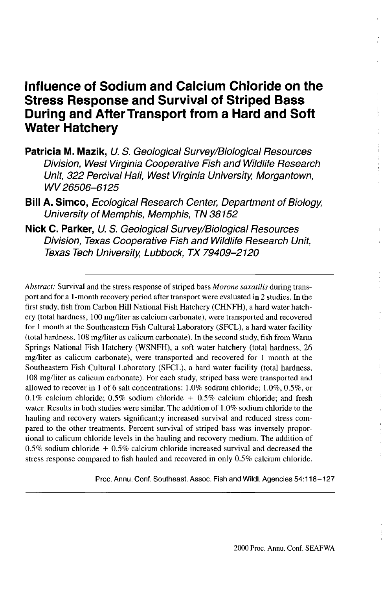# **Influence of Sodium and Calcium Chloride on the Stress Response and Survival of Striped Bass During and After Transport from a Hard and Soft Water Hatchery**

- **Patricia M. Mazik,** U. S. Geological Survey/Biological Resources Division, West Virginia Cooperative Fish and Wildlife Research Unit, 322 Percival Hall, West Virginia University, Morgantown, WV'26506-6125
- **Bill A. Simco,** Ecological Research Center, Department of Biology, University of Memphis, Memphis, TN 38152
- **Nick C. Parker,** U. S. Geological Survey/Biological Resources Division, Texas Cooperative Fish and Wildlife Research Unit, Texas Tech University, Lubbock, TX 79409-2120

*Abstract:* Survival and the stress response of striped bass *Morone saxatilis* during transport and for a 1-month recovery period after transport were evaluated in 2 studies. In the first study, fish from Carbon Hill National Fish Hatchery (CHNFH), a hard water hatchery (total hardness, 100 mg/liter as calcium carbonate), were transported and recovered for 1 month at the Southeastern Fish Cultural Laboratory (SFCL), a hard water facility (total hardness, 108 mg/liter as calicum carbonate). In the second study, fish from Warm Springs National Fish Hatchery (WSNFH), a soft water hatchery (total hardness, 26 mg/liter as calicum carbonate), were transported and recovered for 1 month at the Southeastern Fish Cultural Laboratory (SFCL), a hard water facility (total hardness, 108 mg/liter as calicum carbonate). For each study, striped bass were transported and allowed to recover in 1 of 6 salt concentrations: 1.0% sodium chloride; 1.0%, 0.5%, or 0.1% calcium chloride: 0.5% sodium chloride  $+$  0.5% calcium chloride; and fresh water. Results in both studies were similar. The addition of 1.0% sodium chloride to the hauling and recovery waters significant; y increased survival and reduced stress compared to the other treatments. Percent survival of striped bass was inversely proportional to calicum chloride levels in the hauling and recovery medium. The addition of  $0.5\%$  sodium chloride  $+0.5\%$  calcium chloride increased survival and decreased the stress response compared to fish hauled and recovered in only 0.5% calcium chloride.

Proc. Annu. Conf. Southeast. Assoc. Fish and Wildl. Agencies 54:118-127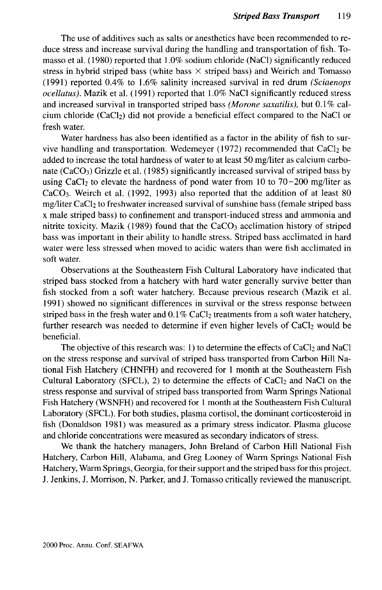The use of additives such as salts or anesthetics have been recommended to reduce stress and increase survival during the handling and transportation of fish. Tomasso et al. (1980) reported that 1.0% sodium chloride (NaCl) significantly reduced stress in hybrid striped bass (white bass  $\times$  striped bass) and Weirich and Tomasso (1991) reported 0.4% to 1.6% salinity increased survival in red drum *(Sciaenops ocellatus).* Mazik et al. (1991) reported that 1.0% NaCl significantly reduced stress and increased survival in transported striped bass *(Morone saxatilis),* but 0.1 % calcium chloride (CaCl<sub>2</sub>) did not provide a beneficial effect compared to the NaCl or fresh water.

Water hardness has also been identified as a factor in the ability of fish to survive handling and transportation. Wedemeyer (1972) recommended that  $CaCl<sub>2</sub>$  be added to increase the total hardness of water to at least 50 mg/liter as calcium carbonate  $(CaCO<sub>3</sub>)$  Grizzle et al. (1985) significantly increased survival of striped bass by using CaCl<sub>2</sub> to elevate the hardness of pond water from 10 to 70-200 mg/liter as  $CaCO<sub>3</sub>$ . Weirch et al. (1992, 1993) also reported that the addition of at least 80 mg/liter CaCl<sub>2</sub> to freshwater increased survival of sunshine bass (female striped bass x male striped bass) to confinement and transport-induced stress and ammonia and nitrite toxicity. Mazik  $(1989)$  found that the CaCO<sub>3</sub> acclimation history of striped bass was important in their ability to handle stress. Striped bass acclimated in hard water were less stressed when moved to acidic waters than were fish acclimated in soft water.

Observations at the Southeastern Fish Cultural Laboratory have indicated that striped bass stocked from a hatchery with hard water generally survive better than fish stocked from a soft water hatchery. Because previous research (Mazik et al. 1991) showed no significant differences in survival or the stress response between striped bass in the fresh water and  $0.1\%$  CaCl<sub>2</sub> treatments from a soft water hatchery, further research was needed to determine if even higher levels of  $CaCl<sub>2</sub>$  would be beneficial.

The objective of this research was: 1) to determine the effects of  $CaCl<sub>2</sub>$  and NaCl on the stress response and survival of striped bass transported from Carbon Hill National Fish Hatchery (CHNFH) and recovered for 1 month at the Southeastern Fish Cultural Laboratory (SFCL), 2) to determine the effects of  $CaCl<sub>2</sub>$  and NaCl on the stress response and survival of striped bass transported from Warm Springs National Fish Hatchery (WSNFH) and recovered for 1 month at the Southeastern Fish Cultural Laboratory (SFCL). For both studies, plasma cortisol, the dominant corticosteroid in fish (Donaldson 1981) was measured as a primary stress indicator. Plasma glucose and chloride concentrations were measured as secondary indicators of stress.

We thank the hatchery managers, John Breland of Carbon Hill National Fish Hatchery, Carbon Hill, Alabama, and Greg Looney of Warm Springs National Fish Hatchery, Warm Springs, Georgia, for their support and the striped bass for this project. J. Jenkins, J. Morrison, N. Parker, and J. Tomasso critically reviewed the manuscript.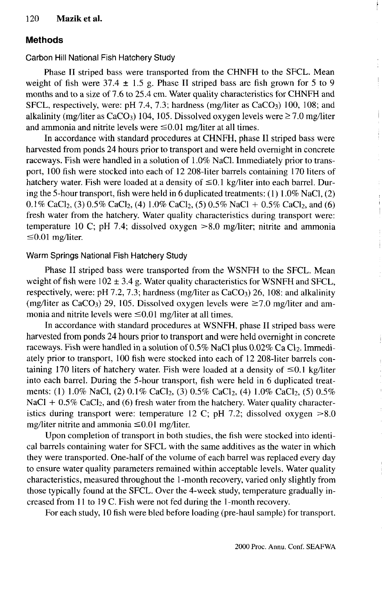## **Methods**

Carbon Hill National Fish Hatchery Study

Phase II striped bass were transported from the CHNFH to the SFCL. Mean weight of fish were  $37.4 \pm 1.5$  g. Phase II striped bass are fish grown for 5 to 9 months and to a size of 7.6 to 25.4 cm. Water quality characteristics for CHNFH and SFCL, respectively, were: pH 7.4, 7.3; hardness (mg/liter as  $CaCO<sub>3</sub>$ ) 100, 108; and alkalinity (mg/liter as CaCO<sub>3</sub>) 104, 105. Dissolved oxygen levels were  $\geq 7.0$  mg/liter and ammonia and nitrite levels were  $\leq 0.01$  mg/liter at all times.

In accordance with standard procedures at CHNFH, phase II striped bass were harvested from ponds 24 hours prior to transport and were held overnight in concrete raceways. Fish were handled in a solution of 1.0% NaCl. Immediately prior to transport, 100 fish were stocked into each of 12 208-liter barrels containing 170 liters of hatchery water. Fish were loaded at a density of  $\leq 0.1$  kg/liter into each barrel. During the 5-hour transport, fish were held in 6 duplicated treatments:  $(1) 1.0\%$  NaCl,  $(2)$ 0.1% CaCl<sub>2</sub>, (3) 0.5% CaCl<sub>2</sub>, (4) 1.0% CaCl<sub>2</sub>, (5) 0.5% NaCl + 0.5% CaCl<sub>2</sub>, and (6) fresh water from the hatchery. Water quality characteristics during transport were: temperature 10 C; pH 7.4; dissolved oxygen >8.0 mg/liter; nitrite and ammonia  $\leq 0.01$  mg/liter.

#### Warm Springs National Fish Hatchery Study

Phase II striped bass were transported from the WSNFH to the SFCL. Mean weight of fish were  $102 \pm 3.4$  g. Water quality characteristics for WSNFH and SFCL, respectively, were: pH 7.2, 7.3; hardness (mg/liter as  $CaCO<sub>3</sub>$ ) 26, 108: and alkalinity (mg/liter as CaCO<sub>3</sub>) 29, 105. Dissolved oxygen levels were  $\geq$ 7.0 mg/liter and ammonia and nitrite levels were  $\leq 0.01$  mg/liter at all times.

In accordance with standard procedures at WSNFH, phase II striped bass were harvested from ponds 24 hours prior to transport and were held overnight in concrete raceways. Fish were handled in a solution of  $0.5\%$  NaCl plus  $0.02\%$  Ca Cl<sub>2</sub>. Immediately prior to transport, 100 fish were stocked into each of 12 208-liter barrels containing 170 liters of hatchery water. Fish were loaded at a density of  $\leq 0.1$  kg/liter into each barrel. During the 5-hour transport, fish were held in 6 duplicated treatments: (1) 1.0% NaCl, (2) 0.1% CaCl<sub>2</sub>, (3) 0.5% CaCl<sub>2</sub>, (4) 1.0% CaCl<sub>2</sub>, (5) 0.5%  $NaCl + 0.5\%$  CaCl<sub>2</sub>, and (6) fresh water from the hatchery. Water quality characteristics during transport were: temperature 12 C; pH 7.2; dissolved oxygen  $>8.0$ mg/liter nitrite and ammonia  $\leq 0.01$  mg/liter.

Upon completion of transport in both studies, the fish were stocked into identical barrels containing water for SFCL with the same additives as the water in which they were transported. One-half of the volume of each barrel was replaced every day to ensure water quality parameters remained within acceptable levels. Water quality characteristics, measured throughout the 1-month recovery, varied only slightly from those typically found at the SFCL. Over the 4-week study, temperature gradually increased from 11 to 19 C. Fish were not fed during the 1-month recovery.

For each study, 10 fish were bled before loading (pre-haul sample) for transport.

Í.

ţ.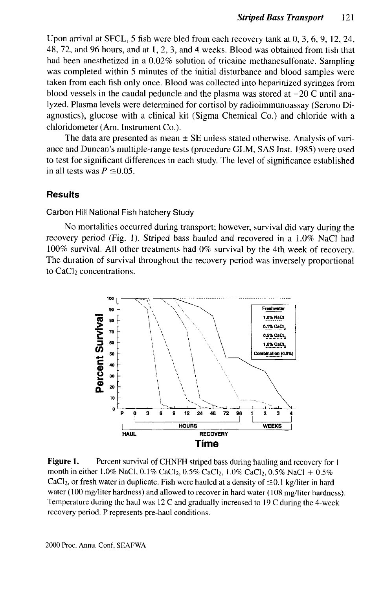Upon arrival at SFCL, 5 fish were bled from each recovery tank at 0, 3, 6, 9, 12, 24, 48, 72, and 96 hours, and at 1, 2, 3, and 4 weeks. Blood was obtained from fish that had been anesthetized in a 0.02% solution of tricaine methanesulfonate. Sampling was completed within 5 minutes of the initial disturbance and blood samples were taken from each fish only once. Blood was collected into heparinized syringes from blood vessels in the caudal peduncle and the plasma was stored at  $-20$  C until analyzed. Plasma levels were determined for cortisol by radioimmunoassay (Serono Diagnostics), glucose with a clinical kit (Sigma Chemical Co.) and chloride with a chloridometer (Am. Instrument Co.).

The data are presented as mean  $\pm$  SE unless stated otherwise. Analysis of variance and Duncan's multiple-range tests (procedure GLM, SAS Inst. 1985) were used to test for significant differences in each study. The level of significance established in all tests was  $P \leq 0.05$ .

#### **Results**

Carbon Hill National Fish hatchery Study

No mortalities occurred during transport; however, survival did vary during the recovery period (Fig. 1). Striped bass hauled and recovered in a 1.0% NaCl had 100% survival. All other treatments had 0% survival by the 4th week of recovery. The duration of survival throughout the recovery period was inversely proportional to  $CaCl<sub>2</sub>$  concentrations.



**Figure 1.** Percent survival of CHNFH striped bass during hauling and recovery for 1 month in either 1.0% NaCl, 0.1% CaCl<sub>2</sub>, 0.5% CaCl<sub>2</sub>, 1.0% CaCl<sub>2</sub>, 0.5% NaCl + 0.5% CaCl<sub>2</sub>, or fresh water in duplicate. Fish were hauled at a density of  $\leq 0.1$  kg/liter in hard water (100 mg/liter hardness) and allowed to recover in hard water (108 mg/liter hardness). Temperature during the haul was 12 C and gradually increased to 19 C during the 4-week recovery period. P represents pre-haul conditions.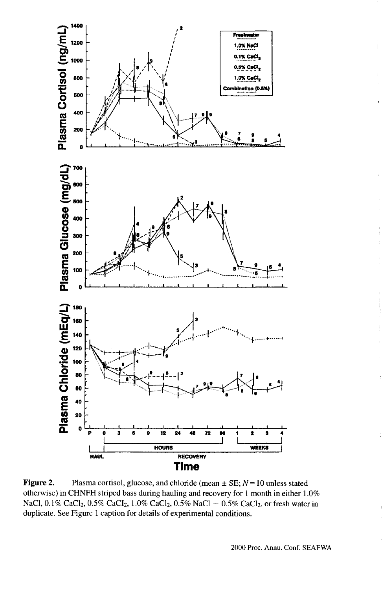

Figure 2. Plasma cortisol, glucose, and chloride (mean  $\pm$  SE;  $N = 10$  unless stated otherwise) in CHNFH striped bass during hauling and recovery for 1 month in either 1.0% NaCl, 0.1% CaCl<sub>2</sub>, 0.5% CaCl<sub>2</sub>, 1.0% CaCl<sub>2</sub>, 0.5% NaCl + 0.5% CaCl<sub>2</sub>, or fresh water in duplicate. See Figure 1 caption for details of experimental conditions.

ł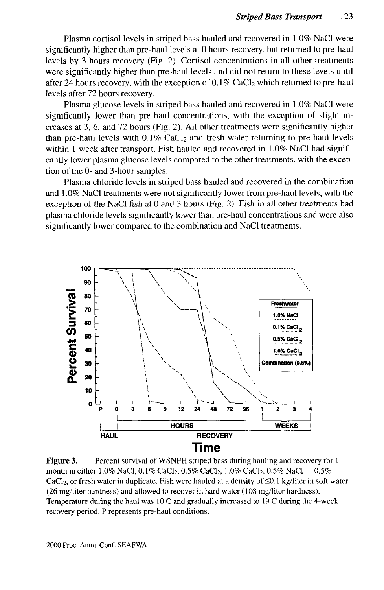Plasma cortisol levels in striped bass hauled and recovered in 1.0% NaCl were significantly higher than pre-haul levels at 0 hours recovery, but returned to pre-haul levels by 3 hours recovery (Fig. 2). Cortisol concentrations in all other treatments were significantly higher than pre-haul levels and did not return to these levels until after 24 hours recovery, with the exception of  $0.1\%$  CaCl<sub>2</sub> which returned to pre-haul levels after 72 hours recovery.

Plasma glucose levels in striped bass hauled and recovered in 1.0% NaCl were significantly lower than pre-haul concentrations, with the exception of slight increases at 3, 6, and 72 hours (Fig. 2). All other treatments were significantly higher than pre-haul levels with  $0.1\%$  CaCl<sub>2</sub> and fresh water returning to pre-haul levels within 1 week after transport. Fish hauled and recovered in 1.0% NaCl had significantly lower plasma glucose levels compared to the other treatments, with the exception of the 0- and 3-hour samples.

Plasma chloride levels in striped bass hauled and recovered in the combination and 1.0% NaCl treatments were not significantly lower from pre-haul levels, with the exception of the NaCl fish at 0 and 3 hours (Fig. 2). Fish in all other treatments had plasma chloride levels significantly lower than pre-haul concentrations and were also significantly lower compared to the combination and NaCl treatments.



**Figure 3.** Percent survival of WSNFH striped bass during hauling and recovery for 1 month in either 1.0% NaCl, 0.1% CaCl<sub>2</sub>, 0.5% CaCl<sub>2</sub>, 1.0% CaCl<sub>2</sub>, 0.5% NaCl + 0.5% CaCl<sub>2</sub>, or fresh water in duplicate. Fish were hauled at a density of  $\leq 0.1$  kg/liter in soft water (26 mg/liter hardness) and allowed to recover in hard water (108 mg/liter hardness). Temperature during the haul was 10C and gradually increased to 19 C during the 4-week recovery period. P represents pre-haul conditions.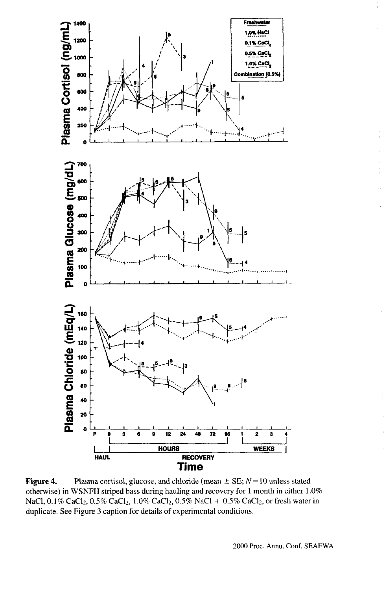

Figure 4. Plasma cortisol, glucose, and chloride (mean  $\pm$  SE;  $N=10$  unless stated otherwise) in WSNFH striped bass during hauling and recovery for 1 month in either 1.0% NaCl, 0.1% CaCl<sub>2</sub>, 0.5% CaCl<sub>2</sub>, 1.0% CaCl<sub>2</sub>, 0.5% NaCl + 0.5% CaCl<sub>2</sub>, or fresh water in duplicate. See Figure 3 caption for details of experimental conditions.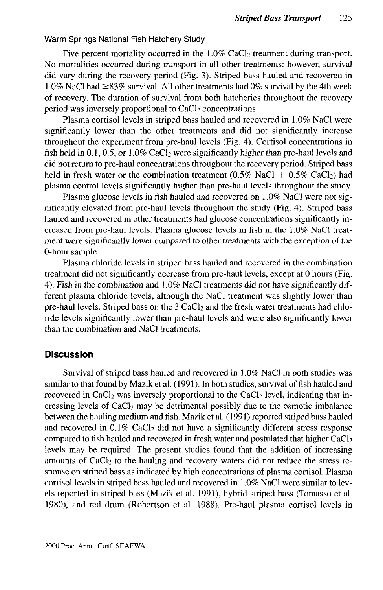#### Warm Springs National Fish Hatchery Study

Five percent mortality occurred in the  $1.0\%$  CaCl<sub>2</sub> treatment during transport. No mortalities occurred during transport in all other treatments: however, survival did vary during the recovery period (Fig. 3). Striped bass hauled and recovered in 1.0% NaCl had  $\geq$ 83% survival. All other treatments had 0% survival by the 4th week of recovery. The duration of survival from both hatcheries throughout the recovery period was inversely proportional to  $CaCl<sub>2</sub>$  concentrations.

Plasma cortisol levels in striped bass hauled and recovered in 1.0% NaCl were significantly lower than the other treatments and did not significantly increase throughout the experiment from pre-haul levels (Fig. 4). Cortisol concentrations in fish held in 0.1, 0.5, or  $1.0\%$  CaCl<sub>2</sub> were significantly higher than pre-haul levels and did not return to pre-haul concentrations throughout the recovery period. Striped bass held in fresh water or the combination treatment (0.5% NaCl +  $0.5\%$  CaCl<sub>2</sub>) had plasma control levels significantly higher than pre-haul levels throughout the study.

Plasma glucose levels in fish hauled and recovered on 1.0% NaCl were not significantly elevated from pre-haul levels throughout the study (Fig. 4). Striped bass hauled and recovered in other treatments had glucose concentrations significantly increased from pre-haul levels. Plasma glucose levels in fish in the 1.0% NaCl treatment were significantly lower compared to other treatments with the exception of the 0-hour sample.

Plasma chloride levels in striped bass hauled and recovered in the combination treatment did not significantly decrease from pre-haul levels, except at 0 hours (Fig. 4). Fish in the combination and 1.0% NaCl treatments did not have significantly different plasma chloride levels, although the NaCl treatment was slightly lower than pre-haul levels. Striped bass on the  $3$  CaCl<sub>2</sub> and the fresh water treatments had chloride levels significantly lower than pre-haul levels and were also significantly lower than the combination and NaCl treatments.

### **Discussion**

Survival of striped bass hauled and recovered in 1.0% NaCl in both studies was similar to that found by Mazik et al. (1991). In both studies, survival of fish hauled and recovered in CaCl<sub>2</sub> was inversely proportional to the CaCl<sub>2</sub> level, indicating that increasing levels of  $CaCl<sub>2</sub>$  may be detrimental possibly due to the osmotic imbalance between the hauling medium and fish. Mazik et al. (1991) reported striped bass hauled and recovered in  $0.1\%$  CaCl<sub>2</sub> did not have a significantly different stress response compared to fish hauled and recovered in fresh water and postulated that higher  $CaCl<sub>2</sub>$ levels may be required. The present studies found that the addition of increasing amounts of  $CaCl<sub>2</sub>$  to the hauling and recovery waters did not reduce the stress response on striped bass as indicated by high concentrations of plasma cortisol. Plasma cortisol levels in striped bass hauled and recovered in 1.0% NaCl were similar to levels reported in striped bass (Mazik et al. 1991), hybrid striped bass (Tomasso et al. 1980), and red drum (Robertson et al. 1988). Pre-haul plasma cortisol levels in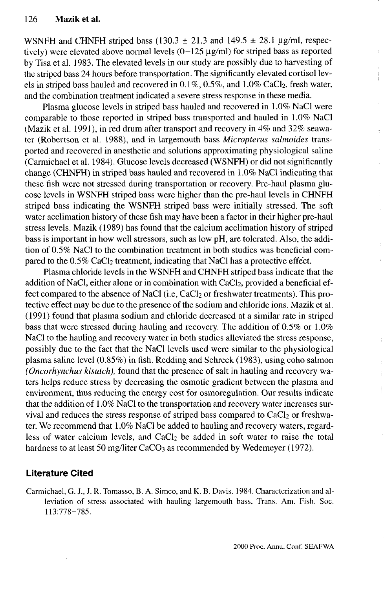WSNFH and CHNFH striped bass (130.3  $\pm$  21.3 and 149.5  $\pm$  28.1 µg/ml, respectively) were elevated above normal levels  $(0-125 \mu g/ml)$  for striped bass as reported by Tisa et al. 1983. The elevated levels in our study are possibly due to harvesting of the striped bass 24 hours before transportation. The significantly elevated cortisol levels in striped bass hauled and recovered in  $0.1\%$ ,  $0.5\%$ , and  $1.0\%$  CaCl<sub>2</sub>, fresh water, and the combination treatment indicated a severe stress response in these media.

Plasma glucose levels in striped bass hauled and recovered in 1.0% NaCl were comparable to those reported in striped bass transported and hauled in 1.0% NaCl (Mazik et al. 1991), in red drum after transport and recovery in 4% and 32% seawater (Robertson et al. 1988), and in largemouth bass *Micropterus salmoides* transported and recovered in anesthetic and solutions approximating physiological saline (Carmichael et al. 1984). Glucose levels decreased (WSNFH) or did not significantly change (CHNFH) in striped bass hauled and recovered in 1.0% NaCl indicating that these fish were not stressed during transportation or recovery. Pre-haul plasma glucose levels in WSNFH striped bass were higher than the pre-haul levels in CHNFH striped bass indicating the WSNFH striped bass were initially stressed. The soft water acclimation history of these fish may have been a factor in their higher pre-haul stress levels. Mazik (1989) has found that the calcium acclimation history of striped bass is important in how well stressors, such as low pH, are tolerated. Also, the addition of 0.5% NaCl to the combination treatment in both studies was beneficial compared to the  $0.5\%$  CaCl<sub>2</sub> treatment, indicating that NaCl has a protective effect.

Plasma chloride levels in the WSNFH and CHNFH striped bass indicate that the addition of NaCl, either alone or in combination with CaCl<sub>2</sub>, provided a beneficial effect compared to the absence of NaCl (i.e, CaCl<sub>2</sub> or freshwater treatments). This protective effect may be due to the presence of the sodium and chloride ions. Mazik et al. (1991) found that plasma sodium and chloride decreased at a similar rate in striped bass that were stressed during hauling and recovery. The addition of 0.5% or 1.0% NaCl to the hauling and recovery water in both studies alleviated the stress response, possibly due to the fact that the NaCl levels used were similar to the physiological plasma saline level (0.85%) in fish. Redding and Schreck (1983), using coho salmon *(Oncorhynchus kisutch),* found that the presence of salt in hauling and recovery waters helps reduce stress by decreasing the osmotic gradient between the plasma and environment, thus reducing the energy cost for osmoregulation. Our results indicate that the addition of 1.0% NaCl to the transportation and recovery water increases survival and reduces the stress response of striped bass compared to  $CaCl<sub>2</sub>$  or freshwater. We recommend that 1.0% NaCl be added to hauling and recovery waters, regardless of water calcium levels, and  $CaCl<sub>2</sub>$  be added in soft water to raise the total hardness to at least 50 mg/liter CaCO<sub>3</sub> as recommended by Wedemeyer (1972).

## **Literature Cited**

Carmichael, G. J., J. R. Tomasso, B. A. Simco, and K. B. Davis. 1984. Characterization and alleviation of stress associated with hauling largemouth bass, Trans. Am. Fish. Soc. 113:778-785.